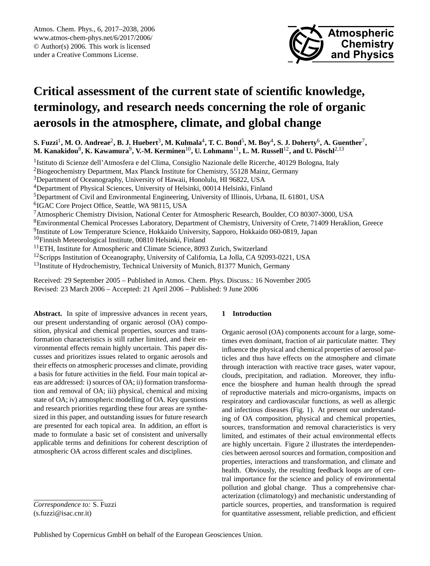

# **Critical assessment of the current state of scientific knowledge, terminology, and research needs concerning the role of organic aerosols in the atmosphere, climate, and global change**

**S. Fuzzi**<sup>1</sup> **, M. O. Andreae**<sup>2</sup> **, B. J. Huebert**<sup>3</sup> **, M. Kulmala**<sup>4</sup> **, T. C. Bond**<sup>5</sup> **, M. Boy**<sup>4</sup> **, S. J. Doherty**<sup>6</sup> **, A. Guenther**<sup>7</sup> **,**  ${\bf M.\, Kanakidou^8, K.\, Kawamura^9, V.-M.\,Kerminen^{10}, U.\,Lohmann^{11}, L.\,M.\,Russell^{12}, and U.\,Pöschl^{2,13}}$ 

<sup>1</sup> Istituto di Scienze dell'Atmosfera e del Clima, Consiglio Nazionale delle Ricerche, 40129 Bologna, Italy

<sup>2</sup>Biogeochemistry Department, Max Planck Institute for Chemistry, 55128 Mainz, Germany

<sup>3</sup>Department of Oceanography, University of Hawaii, Honolulu, HI 96822, USA

<sup>4</sup>Department of Physical Sciences, University of Helsinki, 00014 Helsinki, Finland

<sup>5</sup>Department of Civil and Environmental Engineering, University of Illinois, Urbana, IL 61801, USA

6 IGAC Core Project Office, Seattle, WA 98115, USA

<sup>7</sup>Atmospheric Chemistry Division, National Center for Atmospheric Research, Boulder, CO 80307-3000, USA

<sup>8</sup>Environmental Chemical Processes Laboratory, Department of Chemistry, University of Crete, 71409 Heraklion, Greece

<sup>9</sup>Institute of Low Temperature Science, Hokkaido University, Sapporo, Hokkaido 060-0819, Japan

<sup>10</sup>Finnish Meteorological Institute, 00810 Helsinki, Finland

<sup>11</sup>ETH, Institute for Atmospheric and Climate Science, 8093 Zurich, Switzerland

<sup>12</sup>Scripps Institution of Oceanography, University of California, La Jolla, CA 92093-0221, USA

<sup>13</sup>Institute of Hydrochemistry, Technical University of Munich, 81377 Munich, Germany

Received: 29 September 2005 – Published in Atmos. Chem. Phys. Discuss.: 16 November 2005 Revised: 23 March 2006 – Accepted: 21 April 2006 – Published: 9 June 2006

**Abstract.** In spite of impressive advances in recent years, our present understanding of organic aerosol (OA) composition, physical and chemical properties, sources and transformation characteristics is still rather limited, and their environmental effects remain highly uncertain. This paper discusses and prioritizes issues related to organic aerosols and their effects on atmospheric processes and climate, providing a basis for future activities in the field. Four main topical areas are addressed: i) sources of OA; ii) formation transformation and removal of OA; iii) physical, chemical and mixing state of OA; iv) atmospheric modelling of OA. Key questions and research priorities regarding these four areas are synthesized in this paper, and outstanding issues for future research are presented for each topical area. In addition, an effort is made to formulate a basic set of consistent and universally applicable terms and definitions for coherent description of atmospheric OA across different scales and disciplines.

## **1 Introduction**

Organic aerosol (OA) components account for a large, sometimes even dominant, fraction of air particulate matter. They influence the physical and chemical properties of aerosol particles and thus have effects on the atmosphere and climate through interaction with reactive trace gases, water vapour, clouds, precipitation, and radiation. Moreover, they influence the biosphere and human health through the spread of reproductive materials and micro-organisms, impacts on respiratory and cardiovascular functions, as well as allergic and infectious diseases (Fig. 1). At present our understanding of OA composition, physical and chemical properties, sources, transformation and removal characteristics is very limited, and estimates of their actual environmental effects are highly uncertain. Figure 2 illustrates the interdependencies between aerosol sources and formation, composition and properties, interactions and transformation, and climate and health. Obviously, the resulting feedback loops are of central importance for the science and policy of environmental pollution and global change. Thus a comprehensive characterization (climatology) and mechanistic understanding of particle sources, properties, and transformation is required for quantitative assessment, reliable prediction, and efficient

<span id="page-0-0"></span>*Correspondence to:* S. Fuzzi (s.fuzzi@isac.cnr.it)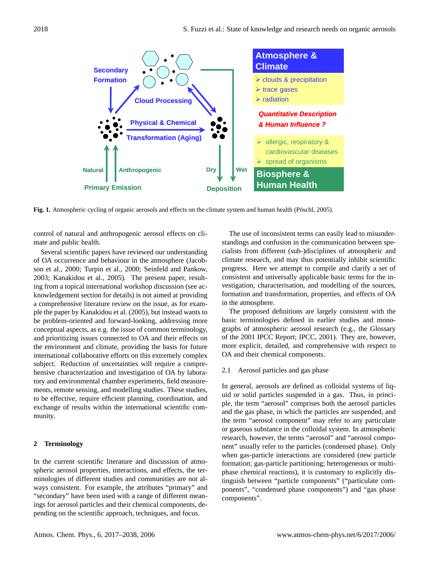

Fig. 1. Atmospheric cycling of organic aerosols and effects on the climate system and human health (Pöschl, 2005).

control of natural and anthropogenic aerosol effects on climate and public health.

ing from a topical international workshop discussion (see acknowledgement section for details) is not aimed at providing a comprehensive literature review on the issue, as for example the paper by Kanakidou et al. (2005), but instead wants to be problem-oriented and forward-looking, addressing more conceptual aspects, as e.g. the issue of common terminology, and prioritizing issues connected to OA and their effects on subject. Reduction of uncertainties will require a compre-• *physical, chemical, biological* tory and environmental chamber experiments, field measurements, remote sensing, and modelling studies. These studies, to be effective, require efficient planning, coordination, and exchange of results within the international scientific com-Several scientific papers have reviewed our understanding of OA occurrence and behaviour in the atmosphere (Jacobson et al., 2000; Turpin et al., 2000; Seinfeld and Pankow, 2003; Kanakidou et al., 2005). The present paper, resultthe environment and climate, providing the basis for future international collaborative efforts on this extremely complex hensive characterization and investigation of OA by laboramunity.

## **2 Terminology**

m are carrent setemme metallite and assessment of lamp-<br>spheric aerosol properties, interactions, and effects, the ter-In the current scientific literature and discussion of atmominologies of different studies and communities are not always consistent. For example, the attributes "primary" and "secondary" have been used with a range of different meanings for aerosol particles and their chemical components, depending on the scientific approach, techniques, and focus.

vestigation, characterisation, and modelling of the sources, formation and transformation, properties, and effects of OA in the atmosphere. The use of inconsistent terms can easily lead to misunderstandings and confusion in the communication between specialists from different (sub-)disciplines of atmospheric and climate research, and may thus potentially inhibit scientific progress. Here we attempt to compile and clarify a set of consistent and universally applicable basic terms for the in-

OA and their chemical components. The proposed definitions are largely consistent with the basic terminologies defined in earlier studies and monographs of atmospheric aerosol research (e.g., the Glossary of the 2001 IPCC Report; IPCC, 2001). They are, however, more explicit, detailed, and comprehensive with respect to

#### 2.1 Aerosol particles and gas phase

• *reproduction & spread of biol.* In general, aerosols are defined as colloidal systems of liquid or solid particles suspended in a gas. Thus, in princi*infectious & allergic diseases* ple, the term "aerosol" comprises both the aerosol particles 2 Terminology nent" usually refer to the particles (condensed phase). Only when gas-particle interactions are considered (new particle<br>
and clients and discussion of atmo and the gas phase, in which the particles are suspended, and the term "aerosol component" may refer to any particulate or gaseous substance in the colloidal system. In atmospheric research, however, the terms "aerosol" and "aerosol compoformation; gas-particle partitioning; heterogeneous or multiphase chemical reactions), it is customary to explicitly distinguish between "particle components" ("particulate components", "condensed phase components") and "gas phase components".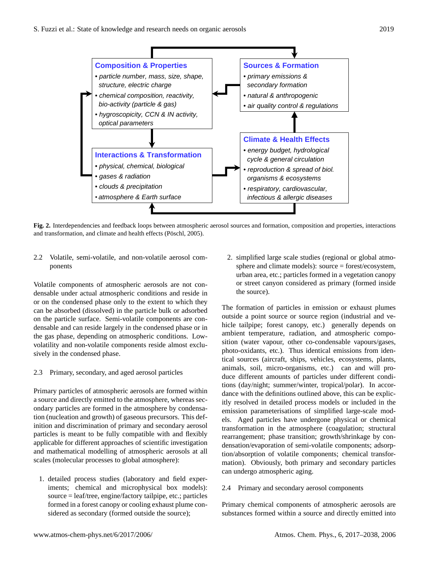**Composition & Properties**

*structure, electric charge* • *chemical composition, reactivity,* 





**Fig. 2.** Interdependencies and feedback loops between atmospheric aerosol sources and formation, composition and properties, interactions and transformation, and climate and health effects (Pöschl, 2005).

2.2 Volatile, semi-volatile, and non-volatile aerosol components

Volatile components of atmospheric aerosols are not condensable under actual atmospheric conditions and reside in or on the condensed phase only to the extent to which they can be absorbed (dissolved) in the particle bulk or adsorbed on the particle surface. Semi-volatile components are condensable and can reside largely in the condensed phase or in the gas phase, depending on atmospheric conditions. Lowvolatility and non-volatile components reside almost exclusively in the condensed phase.

# 2.3 Primary, secondary, and aged aerosol particles

Primary particles of atmospheric aerosols are formed within a source and directly emitted to the atmosphere, whereas secondary particles are formed in the atmosphere by condensation (nucleation and growth) of gaseous precursors. This definition and discrimination of primary and secondary aerosol particles is meant to be fully compatible with and flexibly applicable for different approaches of scientific investigation and mathematical modelling of atmospheric aerosols at all scales (molecular processes to global atmosphere):

1. detailed process studies (laboratory and field experiments; chemical and microphysical box models): source = leaf/tree, engine/factory tailpipe, etc.; particles formed in a forest canopy or cooling exhaust plume considered as secondary (formed outside the source);

2. simplified large scale studies (regional or global atmosphere and climate models): source = forest/ecosystem, urban area, etc.; particles formed in a vegetation canopy or street canyon considered as primary (formed inside the source).

The formation of particles in emission or exhaust plumes outside a point source or source region (industrial and vehicle tailpipe; forest canopy, etc.) generally depends on ambient temperature, radiation, and atmospheric composition (water vapour, other co-condensable vapours/gases, photo-oxidants, etc.). Thus identical emissions from identical sources (aircraft, ships, vehicles, ecosystems, plants, animals, soil, micro-organisms, etc.) can and will produce different amounts of particles under different conditions (day/night; summer/winter, tropical/polar). In accordance with the definitions outlined above, this can be explicitly resolved in detailed process models or included in the emission parameterisations of simplified large-scale models. Aged particles have undergone physical or chemical transformation in the atmosphere (coagulation; structural rearrangement; phase transition; growth/shrinkage by condensation/evaporation of semi-volatile components; adsorption/absorption of volatile components; chemical transformation). Obviously, both primary and secondary particles can undergo atmospheric aging.

## 2.4 Primary and secondary aerosol components

Primary chemical components of atmospheric aerosols are substances formed within a source and directly emitted into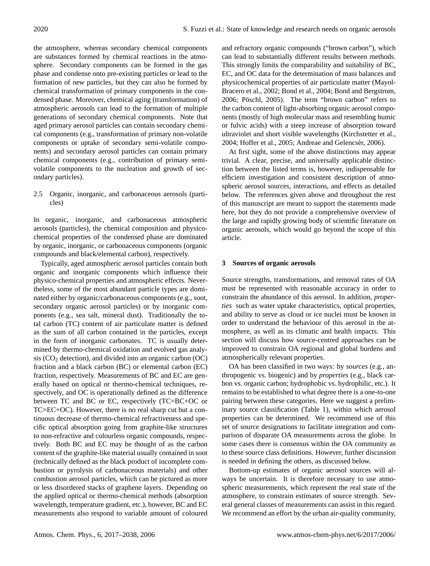the atmosphere, whereas secondary chemical components are substances formed by chemical reactions in the atmosphere. Secondary components can be formed in the gas phase and condense onto pre-existing particles or lead to the formation of new particles, but they can also be formed by chemical transformation of primary components in the condensed phase. Moreover, chemical aging (transformation) of atmospheric aerosols can lead to the formation of multiple generations of secondary chemical components. Note that aged primary aerosol particles can contain secondary chemical components (e.g., transformation of primary non-volatile components or uptake of secondary semi-volatile components) and secondary aerosol particles can contain primary chemical components (e.g., contribution of primary semivolatile components to the nucleation and growth of secondary particles).

2.5 Organic, inorganic, and carbonaceous aerosols (particles)

In organic, inorganic, and carbonaceous atmospheric aerosols (particles), the chemical composition and physicochemical properties of the condensed phase are dominated by organic, inorganic, or carbonaceous components (organic compounds and black/elemental carbon), respectively.

Typically, aged atmospheric aerosol particles contain both organic and inorganic components which influence their physico-chemical properties and atmospheric effects. Nevertheless, some of the most abundant particle types are dominated either by organic/carbonaceous components (e.g., soot, secondary organic aerosol particles) or by inorganic components (e.g., sea salt, mineral dust). Traditionally the total carbon (TC) content of air particulate matter is defined as the sum of all carbon contained in the particles, except in the form of inorganic carbonates. TC is usually determined by thermo-chemical oxidation and evolved gas analysis  $(CO<sub>2</sub>$  detection), and divided into an organic carbon  $(OC)$ fraction and a black carbon (BC) or elemental carbon (EC) fraction, respectively. Measurements of BC and EC are generally based on optical or thermo-chemical techniques, respectively, and OC is operationally defined as the difference between TC and BC or EC, respectively (TC=BC+OC or TC=EC+OC). However, there is no real sharp cut but a continuous decrease of thermo-chemical refractiveness and specific optical absorption going from graphite-like structures to non-refractive and colourless organic compounds, respectively. Both BC and EC may be thought of as the carbon content of the graphite-like material usually contained in soot (technically defined as the black product of incomplete combustion or pyrolysis of carbonaceous materials) and other combustion aerosol particles, which can be pictured as more or less disordered stacks of graphene layers. Depending on the applied optical or thermo-chemical methods (absorption wavelength, temperature gradient, etc.), however, BC and EC measurements also respond to variable amount of coloured and refractory organic compounds ("brown carbon"), which can lead to substantially different results between methods. This strongly limits the comparability and suitability of BC, EC, and OC data for the determination of mass balances and physicochemical properties of air particulate matter (Mayol-Bracero et al., 2002; Bond et al., 2004; Bond and Bergstrom, 2006; Pöschl, 2005). The term "brown carbon" refers to the carbon content of light-absorbing organic aerosol components (mostly of high molecular mass and resembling humic or fulvic acids) with a steep increase of absorption toward ultraviolet and short visible wavelengths (Kirchstetter et al., 2004; Hoffer et al., 2005; Andreae and Gelencsér, 2006).

At first sight, some of the above distinctions may appear trivial. A clear, precise, and universally applicable distinction between the listed terms is, however, indispensable for efficient investigation and consistent description of atmospheric aerosol sources, interactions, and effects as detailed below. The references given above and throughout the rest of this manuscript are meant to support the statements made here, but they do not provide a comprehensive overview of the large and rapidly growing body of scientific literature on organic aerosols, which would go beyond the scope of this article.

#### **3 Sources of organic aerosols**

Source strengths, transformations, and removal rates of OA must be represented with reasonable accuracy in order to constrain the abundance of this aerosol. In addition, *properties* such as water uptake characteristics, optical properties, and ability to serve as cloud or ice nuclei must be known in order to understand the behaviour of this aerosol in the atmosphere, as well as its climatic and health impacts. This section will discuss how source-centred approaches can be improved to constrain OA regional and global burdens and atmospherically relevant properties.

OA has been classified in two ways: by *sources* (e.g., anthropogenic vs. biogenic) and by *properties* (e.g., black carbon vs. organic carbon; hydrophobic vs. hydrophilic, etc.). It remains to be established to what degree there is a one-to-one pairing between these categories. Here we suggest a preliminary source classification (Table 1), within which aerosol properties can be determined. We recommend use of this set of source designations to facilitate integration and comparison of disparate OA measurements across the globe. In some cases there is consensus within the OA community as to these source class definitions. However, further discussion is needed in defining the others, as discussed below.

Bottom-up estimates of organic aerosol sources will always be uncertain. It is therefore necessary to use atmospheric measurements, which represent the real state of the atmosphere, to constrain estimates of source strength. Several general classes of measurements can assist in this regard. We recommend an effort by the urban air-quality community,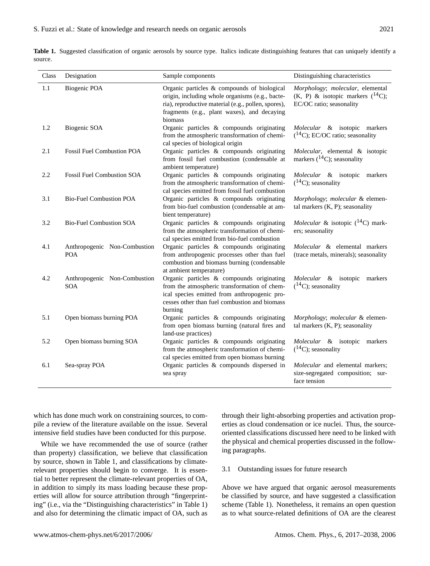| Class | Designation                                | Sample components                                                                                                                                                                                               | Distinguishing characteristics                                                                         |
|-------|--------------------------------------------|-----------------------------------------------------------------------------------------------------------------------------------------------------------------------------------------------------------------|--------------------------------------------------------------------------------------------------------|
| 1.1   | <b>Biogenic POA</b>                        | Organic particles & compounds of biological<br>origin, including whole organisms (e.g., bacte-<br>ria), reproductive material (e.g., pollen, spores),<br>fragments (e.g., plant waxes), and decaying<br>biomass | Morphology; molecular, elemental<br>(K, P) & isotopic markers $(^{14}C)$ ;<br>EC/OC ratio; seasonality |
| 1.2   | Biogenic SOA                               | Organic particles & compounds originating<br>from the atmospheric transformation of chemi-<br>cal species of biological origin                                                                                  | Molecular & isotopic markers<br>$(^{14}C)$ ; EC/OC ratio; seasonality                                  |
| 2.1   | <b>Fossil Fuel Combustion POA</b>          | Organic particles & compounds originating<br>from fossil fuel combustion (condensable at<br>ambient temperature)                                                                                                | Molecular, elemental & isotopic<br>markers $(^{14}C)$ ; seasonality                                    |
| 2.2   | Fossil Fuel Combustion SOA                 | Organic particles & compounds originating<br>from the atmospheric transformation of chemi-<br>cal species emitted from fossil fuel combustion                                                                   | Molecular & isotopic markers<br>$(^{14}C)$ ; seasonality                                               |
| 3.1   | <b>Bio-Fuel Combustion POA</b>             | Organic particles & compounds originating<br>from bio-fuel combustion (condensable at am-<br>bient temperature)                                                                                                 | Morphology; molecular & elemen-<br>tal markers $(K, P)$ ; seasonality                                  |
| 3.2   | <b>Bio-Fuel Combustion SOA</b>             | Organic particles & compounds originating<br>from the atmospheric transformation of chemi-<br>cal species emitted from bio-fuel combustion                                                                      | Molecular & isotopic $(^{14}C)$ mark-<br>ers; seasonality                                              |
| 4.1   | Anthropogenic Non-Combustion<br><b>POA</b> | Organic particles & compounds originating<br>from anthropogenic processes other than fuel<br>combustion and biomass burning (condensable<br>at ambient temperature)                                             | Molecular & elemental markers<br>(trace metals, minerals); seasonality                                 |
| 4.2   | Anthropogenic Non-Combustion<br><b>SOA</b> | Organic particles & compounds originating<br>from the atmospheric transformation of chem-<br>ical species emitted from anthropogenic pro-<br>cesses other than fuel combustion and biomass<br>burning           | Molecular & isotopic markers<br>$(^{14}C)$ ; seasonality                                               |
| 5.1   | Open biomass burning POA                   | Organic particles & compounds originating<br>from open biomass burning (natural fires and<br>land-use practices)                                                                                                | Morphology; molecular & elemen-<br>tal markers $(K, P)$ ; seasonality                                  |
| 5.2   | Open biomass burning SOA                   | Organic particles & compounds originating<br>from the atmospheric transformation of chemi-<br>cal species emitted from open biomass burning                                                                     | Molecular & isotopic markers<br>$(^{14}C)$ ; seasonality                                               |
| 6.1   | Sea-spray POA                              | Organic particles & compounds dispersed in<br>sea spray                                                                                                                                                         | Molecular and elemental markers;<br>size-segregated composition; sur-<br>face tension                  |

**Table 1.** Suggested classification of organic aerosols by source type. Italics indicate distinguishing features that can uniquely identify a source.

which has done much work on constraining sources, to compile a review of the literature available on the issue. Several intensive field studies have been conducted for this purpose.

While we have recommended the use of source (rather than property) classification, we believe that classification by source, shown in Table 1, and classifications by climaterelevant properties should begin to converge. It is essential to better represent the climate-relevant properties of OA, in addition to simply its mass loading because these properties will allow for source attribution through "fingerprinting" (i.e., via the "Distinguishing characteristics" in Table 1) and also for determining the climatic impact of OA, such as through their light-absorbing properties and activation properties as cloud condensation or ice nuclei. Thus, the sourceoriented classifications discussed here need to be linked with the physical and chemical properties discussed in the following paragraphs.

## 3.1 Outstanding issues for future research

Above we have argued that organic aerosol measurements be classified by source, and have suggested a classification scheme (Table 1). Nonetheless, it remains an open question as to what source-related definitions of OA are the clearest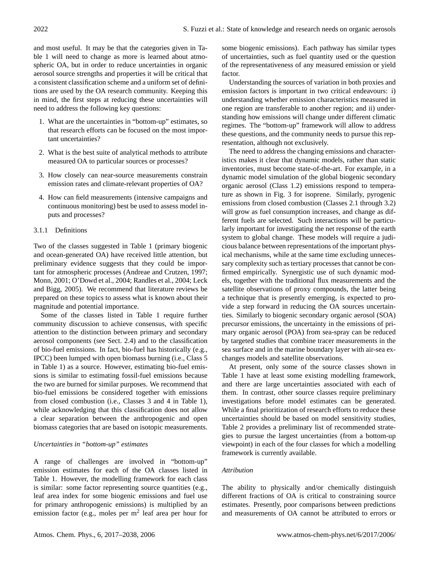and most useful. It may be that the categories given in Table 1 will need to change as more is learned about atmospheric OA, but in order to reduce uncertainties in organic aerosol source strengths and properties it will be critical that a consistent classification scheme and a uniform set of definitions are used by the OA research community. Keeping this in mind, the first steps at reducing these uncertainties will need to address the following key questions:

- 1. What are the uncertainties in "bottom-up" estimates, so that research efforts can be focused on the most important uncertainties?
- 2. What is the best suite of analytical methods to attribute measured OA to particular sources or processes?
- 3. How closely can near-source measurements constrain emission rates and climate-relevant properties of OA?
- 4. How can field measurements (intensive campaigns and continuous monitoring) best be used to assess model inputs and processes?

## 3.1.1 Definitions

Two of the classes suggested in Table 1 (primary biogenic and ocean-generated OA) have received little attention, but preliminary evidence suggests that they could be important for atmospheric processes (Andreae and Crutzen, 1997; Monn, 2001; O'Dowd et al., 2004; Randles et al., 2004; Leck and Bigg, 2005). We recommend that literature reviews be prepared on these topics to assess what is known about their magnitude and potential importance.

Some of the classes listed in Table 1 require further community discussion to achieve consensus, with specific attention to the distinction between primary and secondary aerosol components (see Sect. 2.4) and to the classification of bio-fuel emissions. In fact, bio-fuel has historically (e.g., IPCC) been lumped with open biomass burning (i.e., Class 5 in Table 1) as a source. However, estimating bio-fuel emissions is similar to estimating fossil-fuel emissions because the two are burned for similar purposes. We recommend that bio-fuel emissions be considered together with emissions from closed combustion (i.e., Classes 3 and 4 in Table 1), while acknowledging that this classification does not allow a clear separation between the anthropogenic and open biomass categories that are based on isotopic measurements.

## *Uncertainties in "bottom-up" estimates*

A range of challenges are involved in "bottom-up" emission estimates for each of the OA classes listed in Table 1. However, the modelling framework for each class is similar: some factor representing source quantities (e.g., leaf area index for some biogenic emissions and fuel use for primary anthropogenic emissions) is multiplied by an emission factor (e.g., moles per  $m<sup>2</sup>$  leaf area per hour for

some biogenic emissions). Each pathway has similar types of uncertainties, such as fuel quantity used or the question of the representativeness of any measured emission or yield factor.

Understanding the sources of variation in both proxies and emission factors is important in two critical endeavours: i) understanding whether emission characteristics measured in one region are transferable to another region; and ii) understanding how emissions will change under different climatic regimes. The "bottom-up" framework will allow to address these questions, and the community needs to pursue this representation, although not exclusively.

The need to address the changing emissions and characteristics makes it clear that dynamic models, rather than static inventories, must become state-of-the-art. For example, in a dynamic model simulation of the global biogenic secondary organic aerosol (Class 1.2) emissions respond to temperature as shown in Fig. 3 for isoprene. Similarly, pyrogenic emissions from closed combustion (Classes 2.1 through 3.2) will grow as fuel consumption increases, and change as different fuels are selected. Such interactions will be particularly important for investigating the net response of the earth system to global change. These models will require a judicious balance between representations of the important physical mechanisms, while at the same time excluding unnecessary complexity such as tertiary processes that cannot be confirmed empirically. Synergistic use of such dynamic models, together with the traditional flux measurements and the satellite observations of proxy compounds, the latter being a technique that is presently emerging, is expected to provide a step forward in reducing the OA sources uncertainties. Similarly to biogenic secondary organic aerosol (SOA) precursor emissions, the uncertainty in the emissions of primary organic aerosol (POA) from sea-spray can be reduced by targeted studies that combine tracer measurements in the sea surface and in the marine boundary layer with air-sea exchanges models and satellite observations.

At present, only some of the source classes shown in Table 1 have at least some existing modelling framework, and there are large uncertainties associated with each of them. In contrast, other source classes require preliminary investigations before model estimates can be generated. While a final prioritization of research efforts to reduce these uncertainties should be based on model sensitivity studies, Table 2 provides a preliminary list of recommended strategies to pursue the largest uncertainties (from a bottom-up viewpoint) in each of the four classes for which a modelling framework is currently available.

## *Attribution*

The ability to physically and/or chemically distinguish different fractions of OA is critical to constraining source estimates. Presently, poor comparisons between predictions and measurements of OA cannot be attributed to errors or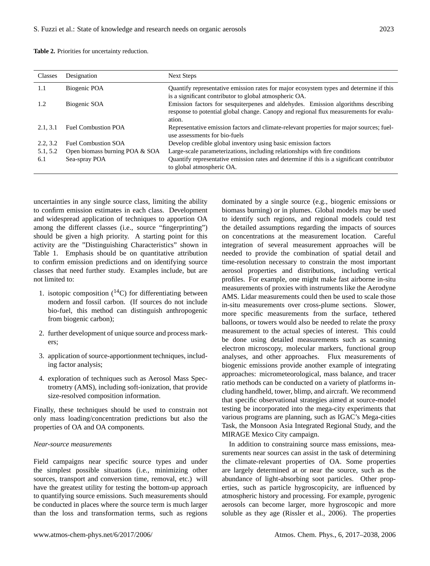| Classes  | Designation                    | Next Steps                                                                                                                                                                           |  |
|----------|--------------------------------|--------------------------------------------------------------------------------------------------------------------------------------------------------------------------------------|--|
| 1.1      | Biogenic POA                   | Quantify representative emission rates for major ecosystem types and determine if this<br>is a significant contributor to global atmospheric OA.                                     |  |
| 1.2      | Biogenic SOA                   | Emission factors for sesquiterpenes and aldehydes. Emission algorithms describing<br>response to potential global change. Canopy and regional flux measurements for evalu-<br>ation. |  |
| 2.1, 3.1 | <b>Fuel Combustion POA</b>     | Representative emission factors and climate-relevant properties for major sources; fuel-<br>use assessments for bio-fuels                                                            |  |
| 2.2, 3.2 | <b>Fuel Combustion SOA</b>     | Develop credible global inventory using basic emission factors                                                                                                                       |  |
| 5.1, 5.2 | Open biomass burning POA & SOA | Large-scale parameterizations, including relationships with fire conditions                                                                                                          |  |
| 6.1      | Sea-spray POA                  | Quantify representative emission rates and determine if this is a significant contributor<br>to global atmospheric OA.                                                               |  |

uncertainties in any single source class, limiting the ability to confirm emission estimates in each class. Development and widespread application of techniques to apportion OA among the different classes (i.e., source "fingerprinting") should be given a high priority. A starting point for this activity are the "Distinguishing Characteristics" shown in Table 1. Emphasis should be on quantitative attribution to confirm emission predictions and on identifying source classes that need further study. Examples include, but are not limited to:

- 1. isotopic composition  $(^{14}C)$  for differentiating between modern and fossil carbon. (If sources do not include bio-fuel, this method can distinguish anthropogenic from biogenic carbon);
- 2. further development of unique source and process markers;
- 3. application of source-apportionment techniques, including factor analysis;
- 4. exploration of techniques such as Aerosol Mass Spectrometry (AMS), including soft-ionization, that provide size-resolved composition information.

Finally, these techniques should be used to constrain not only mass loading/concentration predictions but also the properties of OA and OA components.

#### *Near-source measurements*

Field campaigns near specific source types and under the simplest possible situations (i.e., minimizing other sources, transport and conversion time, removal, etc.) will have the greatest utility for testing the bottom-up approach to quantifying source emissions. Such measurements should be conducted in places where the source term is much larger than the loss and transformation terms, such as regions

dominated by a single source (e.g., biogenic emissions or biomass burning) or in plumes. Global models may be used to identify such regions, and regional models could test the detailed assumptions regarding the impacts of sources on concentrations at the measurement location. Careful integration of several measurement approaches will be needed to provide the combination of spatial detail and time-resolution necessary to constrain the most important aerosol properties and distributions, including vertical profiles. For example, one might make fast airborne in-situ measurements of proxies with instruments like the Aerodyne AMS. Lidar measurements could then be used to scale those in-situ measurements over cross-plume sections. Slower, more specific measurements from the surface, tethered balloons, or towers would also be needed to relate the proxy measurement to the actual species of interest. This could be done using detailed measurements such as scanning electron microscopy, molecular markers, functional group analyses, and other approaches. Flux measurements of biogenic emissions provide another example of integrating approaches: micrometeorological, mass balance, and tracer ratio methods can be conducted on a variety of platforms including handheld, tower, blimp, and aircraft. We recommend that specific observational strategies aimed at source-model testing be incorporated into the mega-city experiments that various programs are planning, such as IGAC's Mega-cities Task, the Monsoon Asia Integrated Regional Study, and the MIRAGE Mexico City campaign.

In addition to constraining source mass emissions, measurements near sources can assist in the task of determining the climate-relevant properties of OA. Some properties are largely determined at or near the source, such as the abundance of light-absorbing soot particles. Other properties, such as particle hygroscopicity, are influenced by atmospheric history and processing. For example, pyrogenic aerosols can become larger, more hygroscopic and more soluble as they age (Rissler et al., 2006). The properties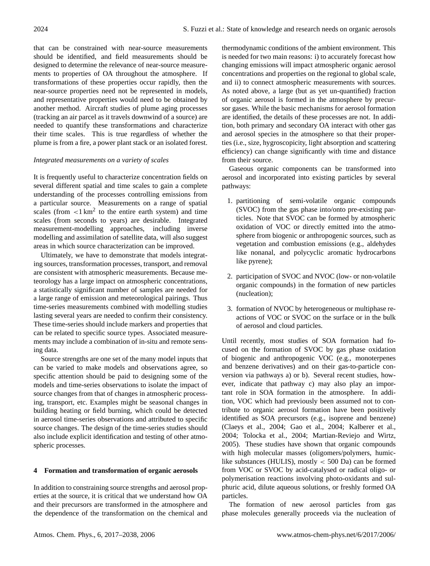that can be constrained with near-source measurements should be identified, and field measurements should be designed to determine the relevance of near-source measurements to properties of OA throughout the atmosphere. If transformations of these properties occur rapidly, then the near-source properties need not be represented in models, and representative properties would need to be obtained by another method. Aircraft studies of plume aging processes (tracking an air parcel as it travels downwind of a source) are needed to quantify these transformations and characterize their time scales. This is true regardless of whether the plume is from a fire, a power plant stack or an isolated forest.

# *Integrated measurements on a variety of scales*

It is frequently useful to characterize concentration fields on several different spatial and time scales to gain a complete understanding of the processes controlling emissions from a particular source. Measurements on a range of spatial scales (from  $\langle 1 \text{ km}^2 \rangle$  to the entire earth system) and time scales (from seconds to years) are desirable. Integrated measurement-modelling approaches, including inverse modelling and assimilation of satellite data, will also suggest areas in which source characterization can be improved.

Ultimately, we have to demonstrate that models integrating sources, transformation processes, transport, and removal are consistent with atmospheric measurements. Because meteorology has a large impact on atmospheric concentrations, a statistically significant number of samples are needed for a large range of emission and meteorological pairings. Thus time-series measurements combined with modelling studies lasting several years are needed to confirm their consistency. These time-series should include markers and properties that can be related to specific source types. Associated measurements may include a combination of in-situ and remote sensing data.

Source strengths are one set of the many model inputs that can be varied to make models and observations agree, so specific attention should be paid to designing some of the models and time-series observations to isolate the impact of source changes from that of changes in atmospheric processing, transport, etc. Examples might be seasonal changes in building heating or field burning, which could be detected in aerosol time-series observations and attributed to specific source changes. The design of the time-series studies should also include explicit identification and testing of other atmospheric processes.

# **4 Formation and transformation of organic aerosols**

In addition to constraining source strengths and aerosol properties at the source, it is critical that we understand how OA and their precursors are transformed in the atmosphere and the dependence of the transformation on the chemical and thermodynamic conditions of the ambient environment. This is needed for two main reasons: i) to accurately forecast how changing emissions will impact atmospheric organic aerosol concentrations and properties on the regional to global scale, and ii) to connect atmospheric measurements with sources. As noted above, a large (but as yet un-quantified) fraction of organic aerosol is formed in the atmosphere by precursor gases. While the basic mechanisms for aerosol formation are identified, the details of these processes are not. In addition, both primary and secondary OA interact with other gas and aerosol species in the atmosphere so that their properties (i.e., size, hygroscopicity, light absorption and scattering efficiency) can change significantly with time and distance from their source.

Gaseous organic components can be transformed into aerosol and incorporated into existing particles by several pathways:

- 1. partitioning of semi-volatile organic compounds (SVOC) from the gas phase into/onto pre-existing particles. Note that SVOC can be formed by atmospheric oxidation of VOC or directly emitted into the atmosphere from biogenic or anthropogenic sources, such as vegetation and combustion emissions (e.g., aldehydes like nonanal, and polycyclic aromatic hydrocarbons like pyrene);
- 2. participation of SVOC and NVOC (low- or non-volatile organic compounds) in the formation of new particles (nucleation);
- 3. formation of NVOC by heterogeneous or multiphase reactions of VOC or SVOC on the surface or in the bulk of aerosol and cloud particles.

Until recently, most studies of SOA formation had focused on the formation of SVOC by gas phase oxidation of biogenic and anthropogenic VOC (e.g., monoterpenes and benzene derivatives) and on their gas-to-particle conversion via pathways a) or b). Several recent studies, however, indicate that pathway c) may also play an important role in SOA formation in the atmosphere. In addition, VOC which had previously been assumed not to contribute to organic aerosol formation have been positively identified as SOA precursors (e.g., isoprene and benzene) (Claeys et al., 2004; Gao et al., 2004; Kalberer et al., 2004; Tolocka et al., 2004; Martian-Reviejo and Wirtz, 2005). These studies have shown that organic compounds with high molecular masses (oligomers/polymers, humiclike substances (HULIS), mostly < 500 Da) can be formed from VOC or SVOC by acid-catalysed or radical oligo- or polymerisation reactions involving photo-oxidants and sulphuric acid, dilute aqueous solutions, or freshly formed OA particles.

The formation of new aerosol particles from gas phase molecules generally proceeds via the nucleation of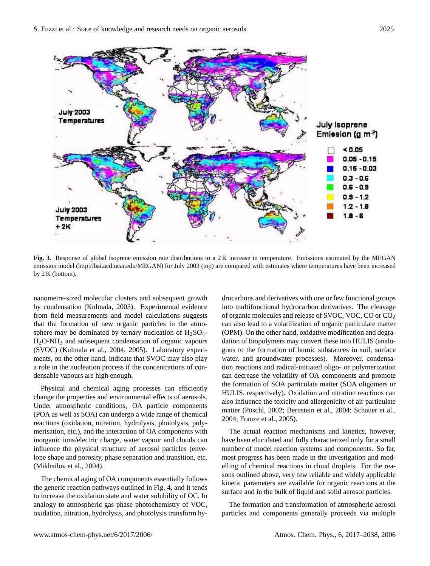

**Fig. 3.** Response of global isoprene emission rate distributions to a 2K increase in temperature. Emissions estimated by the MEGAN emission model [\(http://bai.acd.ucar.edu/MEGAN\)](http://bai.acd.ucar.edu/MEGAN) for July 2003 (top) are compared with estimates where temperatures have been increased by 2 K (bottom).

nanometre-sized molecular clusters and subsequent growth by condensation (Kulmala, 2003). Experimental evidence from field measurements and model calculations suggests that the formation of new organic particles in the atmosphere may be dominated by ternary nucleation of  $H_2SO_4$ - $H<sub>2</sub>O-NH<sub>3</sub>$  and subsequent condensation of organic vapours (SVOC) (Kulmala et al., 2004, 2005). Laboratory experiments, on the other hand, indicate that SVOC may also play a role in the nucleation process if the concentrations of condensable vapours are high enough.

Physical and chemical aging processes can efficiently change the properties and environmental effects of aerosols. Under atmospheric conditions, OA particle components (POA as well as SOA) can undergo a wide range of chemical reactions (oxidation, nitration, hydrolysis, photolysis, polymerisation, etc.), and the interaction of OA components with inorganic ions/electric charge, water vapour and clouds can influence the physical structure of aerosol particles (envelope shape and porosity, phase separation and transition, etc. (Mikhailov et al., 2004).

The chemical aging of OA components essentially follows the generic reaction pathways outlined in Fig. 4, and it tends to increase the oxidation state and water solubility of OC. In analogy to atmospheric gas phase photochemistry of VOC, oxidation, nitration, hydrolysis, and photolysis transform hy-

drocarbons and derivatives with one or few functional groups into multifunctional hydrocarbon derivatives. The cleavage of organic molecules and release of SVOC, VOC, CO or CO<sup>2</sup> can also lead to a volatilization of organic particulate matter (OPM). On the other hand, oxidative modification and degradation of biopolymers may convert these into HULIS (analogous to the formation of humic substances in soil, surface water, and groundwater processes). Moreover, condensation reactions and radical-initiated oligo- or polymerization can decrease the volatility of OA components and promote the formation of SOA particulate matter (SOA oligomers or HULIS, respectively). Oxidation and nitration reactions can also influence the toxicity and allergenicity of air particulate matter (Pöschl, 2002; Bernstein et al., 2004; Schauer et al., 2004; Franze et al., 2005).

The actual reaction mechanisms and kinetics, however, have been elucidated and fully characterized only for a small number of model reaction systems and components. So far, most progress has been made in the investigation and modelling of chemical reactions in cloud droplets. For the reasons outlined above, very few reliable and widely applicable kinetic parameters are available for organic reactions at the surface and in the bulk of liquid and solid aerosol particles.

The formation and transformation of atmospheric aerosol particles and components generally proceeds via multiple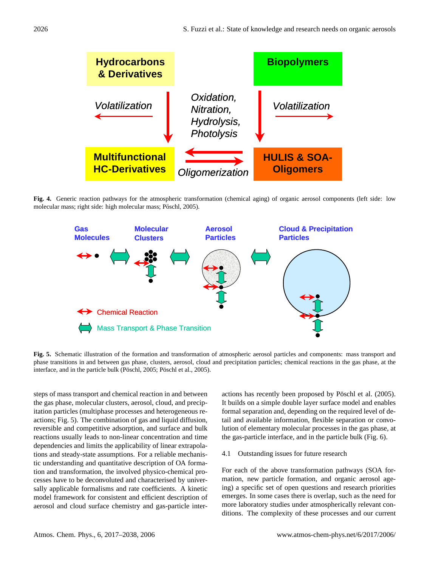

**Fig. 4.** Generic reaction pathways for the atmospheric transformation (chemical aging) of organic aerosol components (left side: low molecular mass; right side: high molecular mass; Pöschl, 2005).



phase transitions in and between gas phase, clusters, aerosol, cloud and precipitation particles; chemical reactions in the gas phase, at the interface, and in the particle bulk (Pöschl, 2005; Pöschl et al., 2005).

tions and steady-state assumptions. For a reliable mechanistion and transformation, the involved physico-chemical pro**z**<sub>p</sub> interzelses have to be deconvoluted and characterised by university applicable formalisms and rate coefficients. A kinetic ing reversible and competitive adsorption, and surface and bulk lutio reactions usually leads to non-linear concentration and time *J***ads***, J***des** tic understanding and quantitative description of OA formacesses have to be deconvoluted and characterised by univerdependencies and limits the applicability of linear extrapolaaerosol and cloud surface chemistry and gas-particle inter-*J*<sub>sany</sub> applicable formalisms and rate coefficients. A Kinetic model framework for consistent and efficient description of Fig. 5. Schematic illustration of the formation and transformation of atmospheric ecosol particles sand components: mass transport and<br>theretoe, and in the particle bulk (Pöschl, 2005; Pöschl et al., 2005).<br>
Steps of mass steps of mass transport and chemical reaction in and between the gas phase, molecular clusters, aerosol, cloud, and precipitation particles (multiphase processes and heterogeneous reactions; Fig. 5). The combination of gas and liquid diffusion,

ss transport and chemical reaction in and between actions has recently been proposed by Pöschl et al. (2005). time the gas-particle interface, and in the particle bulk (Fig. 6). lution of elementary molecular processes in the gas phase, at It builds on a simple double layer surface model and enables formal separation and, depending on the required level of detail and available information, flexible separation or convo-

## 4.1 Outstanding issues for future research

energes. In some cases there is overtap, such as the need for more laboratory studies under atmospherically relevant con*surface-bulk* **Quasi-static surface layer (ss)** ing) a specific set of open questions and research priorities For each of the above transformation pathways (SOA formation, new particle formation, and organic aerosol ageemerges. In some cases there is overlap, such as the need for ditions. The complexity of these processes and our current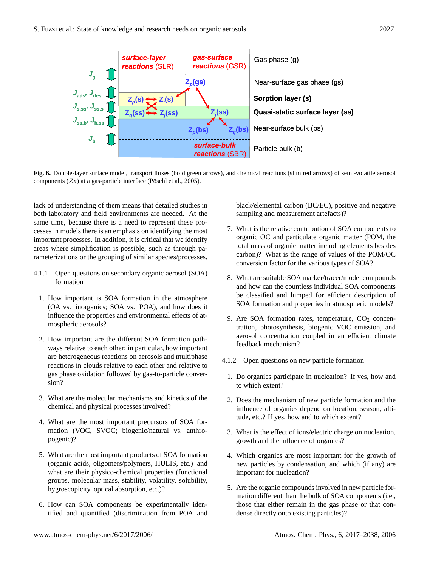

components  $(Zx)$  at a gas-particle interface (Pöschl et al., 2005). **Fig. 6.** Double-layer surface model, transport fluxes (bold green arrows), and chemical reactions (slim red arrows) of semi-volatile aerosol

lack of understanding of them means that detailed studies in both laboratory and field environments are needed. At the same time, because there is a need to represent these processes in models there is an emphasis on identifying the most important processes. In addition, it is critical that we identify areas where simplification is possible, such as through parameterizations or the grouping of similar species/processes.

- 4.1.1 Open questions on secondary organic aerosol (SOA) formation
	- 1. How important is SOA formation in the atmosphere (OA vs. inorganics; SOA vs. POA), and how does it influence the properties and environmental effects of atmospheric aerosols?
	- 2. How important are the different SOA formation pathways relative to each other; in particular, how important are heterogeneous reactions on aerosols and multiphase reactions in clouds relative to each other and relative to gas phase oxidation followed by gas-to-particle conversion?
	- 3. What are the molecular mechanisms and kinetics of the chemical and physical processes involved?
	- 4. What are the most important precursors of SOA formation (VOC, SVOC; biogenic/natural vs. anthropogenic)?
	- 5. What are the most important products of SOA formation (organic acids, oligomers/polymers, HULIS, etc.) and what are their physico-chemical properties (functional groups, molecular mass, stability, volatility, solubility, hygroscopicity, optical absorption, etc.)?
	- 6. How can SOA components be experimentally identified and quantified (discrimination from POA and

black/elemental carbon (BC/EC), positive and negative sampling and measurement artefacts)?

- 7. What is the relative contribution of SOA components to organic OC and particulate organic matter (POM, the total mass of organic matter including elements besides carbon)? What is the range of values of the POM/OC conversion factor for the various types of SOA?
- 8. What are suitable SOA marker/tracer/model compounds and how can the countless individual SOA components be classified and lumped for efficient description of SOA formation and properties in atmospheric models?
- 9. Are SOA formation rates, temperature,  $CO<sub>2</sub>$  concentration, photosynthesis, biogenic VOC emission, and aerosol concentration coupled in an efficient climate feedback mechanism?
- 4.1.2 Open questions on new particle formation
	- 1. Do organics participate in nucleation? If yes, how and to which extent?
	- 2. Does the mechanism of new particle formation and the influence of organics depend on location, season, altitude, etc.? If yes, how and to which extent?
	- 3. What is the effect of ions/electric charge on nucleation, growth and the influence of organics?
	- 4. Which organics are most important for the growth of new particles by condensation, and which (if any) are important for nucleation?
	- 5. Are the organic compounds involved in new particle formation different than the bulk of SOA components (i.e., those that either remain in the gas phase or that condense directly onto existing particles)?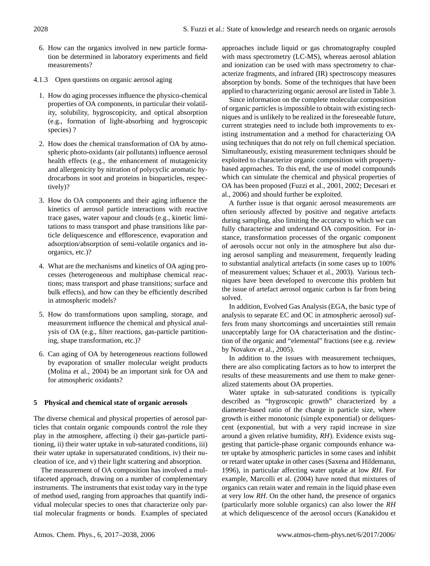- 6. How can the organics involved in new particle formation be determined in laboratory experiments and field measurements?
- 4.1.3 Open questions on organic aerosol aging
	- 1. How do aging processes influence the physico-chemical properties of OA components, in particular their volatility, solubility, hygroscopicity, and optical absorption (e.g., formation of light-absorbing and hygroscopic species) ?
	- 2. How does the chemical transformation of OA by atmospheric photo-oxidants (air pollutants) influence aerosol health effects (e.g., the enhancement of mutagenicity and allergenicity by nitration of polycyclic aromatic hydrocarbons in soot and proteins in bioparticles, respectively)?
	- 3. How do OA components and their aging influence the kinetics of aerosol particle interactions with reactive trace gases, water vapour and clouds (e.g., kinetic limitations to mass transport and phase transitions like particle deliquescence and efflorescence, evaporation and adsorption/absorption of semi-volatile organics and inorganics, etc.)?
	- 4. What are the mechanisms and kinetics of OA aging processes (heterogeneous and multiphase chemical reactions; mass transport and phase transitions; surface and bulk effects), and how can they be efficiently described in atmospheric models?
	- 5. How do transformations upon sampling, storage, and measurement influence the chemical and physical analysis of OA (e.g., filter reactions, gas-particle partitioning, shape transformation, etc.)?
	- 6. Can aging of OA by heterogeneous reactions followed by evaporation of smaller molecular weight products (Molina et al., 2004) be an important sink for OA and for atmospheric oxidants?

# **5 Physical and chemical state of organic aerosols**

The diverse chemical and physical properties of aerosol particles that contain organic compounds control the role they play in the atmosphere, affecting i) their gas-particle partitioning, ii) their water uptake in sub-saturated conditions, iii) their water uptake in supersaturated conditions, iv) their nucleation of ice, and v) their light scattering and absorption.

The measurement of OA composition has involved a multifaceted approach, drawing on a number of complementary instruments. The instruments that exist today vary in the type of method used, ranging from approaches that quantify individual molecular species to ones that characterize only partial molecular fragments or bonds. Examples of speciated

approaches include liquid or gas chromatography coupled with mass spectrometry (LC-MS), whereas aerosol ablation and ionization can be used with mass spectrometry to characterize fragments, and infrared (IR) spectroscopy measures absorption by bonds. Some of the techniques that have been applied to characterizing organic aerosol are listed in Table 3.

Since information on the complete molecular composition of organic particles is impossible to obtain with existing techniques and is unlikely to be realized in the foreseeable future, current strategies need to include both improvements to existing instrumentation and a method for characterizing OA using techniques that do not rely on full chemical speciation. Simultaneously, existing measurement techniques should be exploited to characterize organic composition with propertybased approaches. To this end, the use of model compounds which can simulate the chemical and physical properties of OA has been proposed (Fuzzi et al., 2001, 2002; Decesari et al., 2006) and should further be exploited.

A further issue is that organic aerosol measurements are often seriously affected by positive and negative artefacts during sampling, also limiting the accuracy to which we can fully characterise and understand OA composition. For instance, transformation processes of the organic component of aerosols occur not only in the atmosphere but also during aerosol sampling and measurement, frequently leading to substantial analytical artefacts (in some cases up to 100% of measurement values; Schauer et al., 2003). Various techniques have been developed to overcome this problem but the issue of artefact aerosol organic carbon is far from being solved.

In addition, Evolved Gas Analysis (EGA, the basic type of analysis to separate EC and OC in atmospheric aerosol) suffers from many shortcomings and uncertainties still remain unacceptably large for OA characterisation and the distinction of the organic and "elemental" fractions (see e.g. review by Novakov et al., 2005).

In addition to the issues with measurement techniques, there are also complicating factors as to how to interpret the results of these measurements and use them to make generalized statements about OA properties.

Water uptake in sub-saturated conditions is typically described as "hygroscopic growth" characterized by a diameter-based ratio of the change in particle size, where growth is either monotonic (simple exponential) or deliquescent (exponential, but with a very rapid increase in size around a given relative humidity, *RH*). Evidence exists suggesting that particle-phase organic compounds enhance water uptake by atmospheric particles in some cases and inhibit or retard water uptake in other cases (Saxena and Hildemann, 1996), in particular affecting water uptake at low *RH*. For example, Marcolli et al. (2004) have noted that mixtures of organics can retain water and remain in the liquid phase even at very low *RH*. On the other hand, the presence of organics (particularly more soluble organics) can also lower the *RH* at which deliquescence of the aerosol occurs (Kanakidou et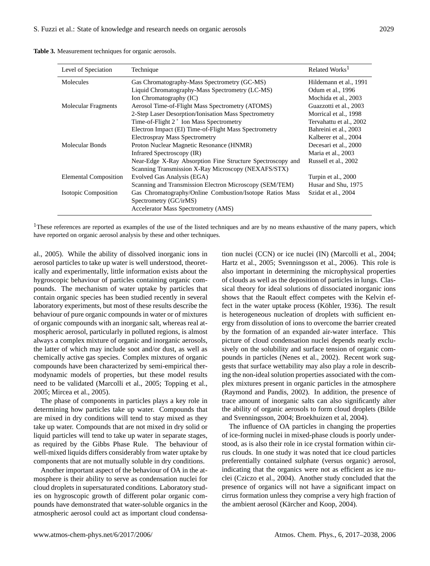**Table 3.** Measurement techniques for organic aerosols.

| Level of Speciation          | Technique                                                  | Related Works <sup>1</sup> |
|------------------------------|------------------------------------------------------------|----------------------------|
| Molecules                    | Gas Chromatography-Mass Spectrometry (GC-MS)               | Hildemann et al., 1991     |
|                              | Liquid Chromatography-Mass Spectrometry (LC-MS)            | Odum et al., 1996          |
|                              | Ion Chromatography (IC)                                    | Mochida et al., 2003       |
| <b>Molecular Fragments</b>   | Aerosol Time-of-Flight Mass Spectrometry (ATOMS)           | Guazzotti et al., 2003     |
|                              | 2-Step Laser Desorption/Ionisation Mass Spectrometry       | Morrical et al., 1998      |
|                              | Time-of-Flight 2° Ion Mass Spectrometry                    | Tervahattu et al., 2002    |
|                              | Electron Impact (EI) Time-of-Flight Mass Spectrometry      | Bahreini et al., 2003      |
|                              | <b>Electrospray Mass Spectrometry</b>                      | Kalberer et al., 2004      |
| Molecular Bonds              | Proton Nuclear Magnetic Resonance (HNMR)                   | Decesari et al., 2000      |
|                              | Infrared Spectroscopy (IR)                                 | Maria et al., 2003         |
|                              | Near-Edge X-Ray Absorption Fine Structure Spectroscopy and | Russell et al., 2002       |
|                              | Scanning Transmission X-Ray Microscopy (NEXAFS/STX)        |                            |
| <b>Elemental Composition</b> | Evolved Gas Analysis (EGA)                                 | Turpin et al., 2000        |
|                              | Scanning and Transmission Electron Microscopy (SEM/TEM)    | Husar and Shu, 1975        |
| Isotopic Composition         | Gas Chromatography/Online Combustion/Isotope Ratios Mass   | Szidat et al., 2004        |
|                              | Spectrometry (GC/irMS)                                     |                            |
|                              | Accelerator Mass Spectrometry (AMS)                        |                            |

<sup>1</sup>These references are reported as examples of the use of the listed techniques and are by no means exhaustive of the many papers, which have reported on organic aerosol analysis by these and other techniques.

al., 2005). While the ability of dissolved inorganic ions in aerosol particles to take up water is well understood, theoretically and experimentally, little information exists about the hygroscopic behaviour of particles containing organic compounds. The mechanism of water uptake by particles that contain organic species has been studied recently in several laboratory experiments, but most of these results describe the behaviour of pure organic compounds in water or of mixtures of organic compounds with an inorganic salt, whereas real atmospheric aerosol, particularly in polluted regions, is almost always a complex mixture of organic and inorganic aerosols, the latter of which may include soot and/or dust, as well as chemically active gas species. Complex mixtures of organic compounds have been characterized by semi-empirical thermodynamic models of properties, but these model results need to be validated (Marcolli et al., 2005; Topping et al., 2005; Mircea et al., 2005).

The phase of components in particles plays a key role in determining how particles take up water. Compounds that are mixed in dry conditions will tend to stay mixed as they take up water. Compounds that are not mixed in dry solid or liquid particles will tend to take up water in separate stages, as required by the Gibbs Phase Rule. The behaviour of well-mixed liquids differs considerably from water uptake by components that are not mutually soluble in dry conditions.

Another important aspect of the behaviour of OA in the atmosphere is their ability to serve as condensation nuclei for cloud droplets in supersaturated conditions. Laboratory studies on hygroscopic growth of different polar organic compounds have demonstrated that water-soluble organics in the atmospheric aerosol could act as important cloud condensation nuclei (CCN) or ice nuclei (IN) (Marcolli et al., 2004; Hartz et al., 2005; Svenningsson et al., 2006). This role is also important in determining the microphysical properties of clouds as well as the deposition of particles in lungs. Classical theory for ideal solutions of dissociated inorganic ions shows that the Raoult effect competes with the Kelvin effect in the water uptake process (Köhler, 1936). The result is heterogeneous nucleation of droplets with sufficient energy from dissolution of ions to overcome the barrier created by the formation of an expanded air-water interface. This picture of cloud condensation nuclei depends nearly exclusively on the solubility and surface tension of organic compounds in particles (Nenes et al., 2002). Recent work suggests that surface wettability may also play a role in describing the non-ideal solution properties associated with the complex mixtures present in organic particles in the atmosphere (Raymond and Pandis, 2002). In addition, the presence of trace amount of inorganic salts can also significantly alter the ability of organic aerosols to form cloud droplets (Bilde and Svenningsson, 2004; Broekhuizen et al, 2004).

The influence of OA particles in changing the properties of ice-forming nuclei in mixed-phase clouds is poorly understood, as is also their role in ice crystal formation within cirrus clouds. In one study it was noted that ice cloud particles preferentially contained sulphate (versus organic) aerosol, indicating that the organics were not as efficient as ice nuclei (Cziczo et al., 2004). Another study concluded that the presence of organics will not have a significant impact on cirrus formation unless they comprise a very high fraction of the ambient aerosol (Kärcher and Koop, 2004).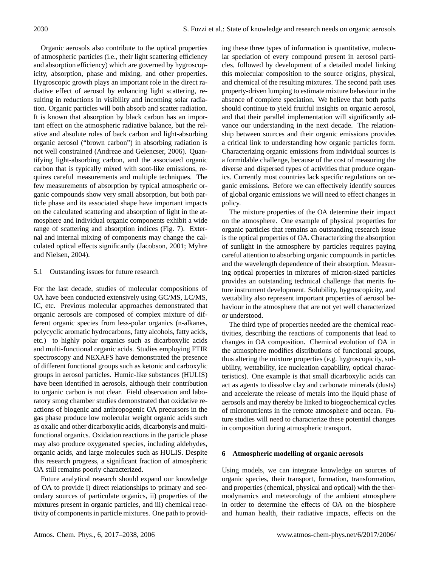Organic aerosols also contribute to the optical properties of atmospheric particles (i.e., their light scattering efficiency and absorption efficiency) which are governed by hygroscopicity, absorption, phase and mixing, and other properties. Hygroscopic growth plays an important role in the direct radiative effect of aerosol by enhancing light scattering, resulting in reductions in visibility and incoming solar radiation. Organic particles will both absorb and scatter radiation. It is known that absorption by black carbon has an important effect on the atmospheric radiative balance, but the relative and absolute roles of back carbon and light-absorbing organic aerosol ("brown carbon") in absorbing radiation is not well constrained (Andreae and Gelencser, 2006). Quantifying light-absorbing carbon, and the associated organic carbon that is typically mixed with soot-like emissions, requires careful measurements and multiple techniques. The few measurements of absorption by typical atmospheric organic compounds show very small absorption, but both particle phase and its associated shape have important impacts on the calculated scattering and absorption of light in the atmosphere and individual organic components exhibit a wide range of scattering and absorption indices (Fig. 7). External and internal mixing of components may change the calculated optical effects significantly (Jacobson, 2001; Myhre and Nielsen, 2004).

# 5.1 Outstanding issues for future research

For the last decade, studies of molecular compositions of OA have been conducted extensively using GC/MS, LC/MS, IC, etc. Previous molecular approaches demonstrated that organic aerosols are composed of complex mixture of different organic species from less-polar organics (n-alkanes, polycyclic aromatic hydrocarbons, fatty alcohols, fatty acids, etc.) to highly polar organics such as dicarboxylic acids and multi-functional organic acids. Studies employing FTIR spectroscopy and NEXAFS have demonstrated the presence of different functional groups such as ketonic and carboxylic groups in aerosol particles. Humic-like substances (HULIS) have been identified in aerosols, although their contribution to organic carbon is not clear. Field observation and laboratory smog chamber studies demonstrated that oxidative reactions of biogenic and anthropogenic OA precursors in the gas phase produce low molecular weight organic acids such as oxalic and other dicarboxylic acids, dicarbonyls and multifunctional organics. Oxidation reactions in the particle phase may also produce oxygenated species, including aldehydes, organic acids, and large molecules such as HULIS. Despite this research progress, a significant fraction of atmospheric OA still remains poorly characterized.

Future analytical research should expand our knowledge of OA to provide i) direct relationships to primary and secondary sources of particulate organics, ii) properties of the mixtures present in organic particles, and iii) chemical reactivity of components in particle mixtures. One path to providing these three types of information is quantitative, molecular speciation of every compound present in aerosol particles, followed by development of a detailed model linking this molecular composition to the source origins, physical, and chemical of the resulting mixtures. The second path uses property-driven lumping to estimate mixture behaviour in the absence of complete speciation. We believe that both paths should continue to yield fruitful insights on organic aerosol, and that their parallel implementation will significantly advance our understanding in the next decade. The relationship between sources and their organic emissions provides a critical link to understanding how organic particles form. Characterizing organic emissions from individual sources is a formidable challenge, because of the cost of measuring the diverse and dispersed types of activities that produce organics. Currently most countries lack specific regulations on organic emissions. Before we can effectively identify sources of global organic emissions we will need to effect changes in policy.

The mixture properties of the OA determine their impact on the atmosphere. One example of physical properties for organic particles that remains an outstanding research issue is the optical properties of OA. Characterizing the absorption of sunlight in the atmosphere by particles requires paying careful attention to absorbing organic compounds in particles and the wavelength dependence of their absorption. Measuring optical properties in mixtures of micron-sized particles provides an outstanding technical challenge that merits future instrument development. Solubility, hygroscopicity, and wettability also represent important properties of aerosol behaviour in the atmosphere that are not yet well characterized or understood.

The third type of properties needed are the chemical reactivities, describing the reactions of components that lead to changes in OA composition. Chemical evolution of OA in the atmosphere modifies distributions of functional groups, thus altering the mixture properties (e.g. hygroscopicity, solubility, wettability, ice nucleation capability, optical characteristics). One example is that small dicarboxylic acids can act as agents to dissolve clay and carbonate minerals (dusts) and accelerate the release of metals into the liquid phase of aerosols and may thereby be linked to biogeochemical cycles of micronutrients in the remote atmosphere and ocean. Future studies will need to characterize these potential changes in composition during atmospheric transport.

## **6 Atmospheric modelling of organic aerosols**

Using models, we can integrate knowledge on sources of organic species, their transport, formation, transformation, and properties (chemical, physical and optical) with the thermodynamics and meteorology of the ambient atmosphere in order to determine the effects of OA on the biosphere and human health, their radiative impacts, effects on the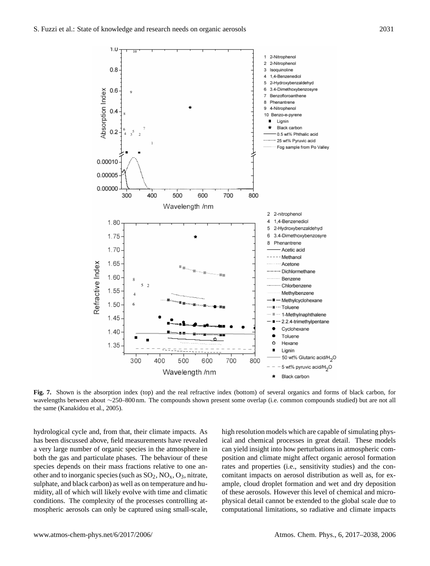

**Fig. 7.** Shown is the absorption index (top) and the real refractive index (bottom) of several organics and forms of black carbon, for wavelengths between about ∼250–800 nm. The compounds shown present some overlap (i.e. common compounds studied) but are not all the same (Kanakidou et al., 2005).

hydrological cycle and, from that, their climate impacts. As has been discussed above, field measurements have revealed a very large number of organic species in the atmosphere in both the gas and particulate phases. The behaviour of these species depends on their mass fractions relative to one another and to inorganic species (such as  $SO_2$ ,  $NO_x$ ,  $O_3$ , nitrate, sulphate, and black carbon) as well as on temperature and humidity, all of which will likely evolve with time and climatic conditions. The complexity of the processes controlling atmospheric aerosols can only be captured using small-scale, high resolution models which are capable of simulating physical and chemical processes in great detail. These models can yield insight into how perturbations in atmospheric composition and climate might affect organic aerosol formation rates and properties (i.e., sensitivity studies) and the concomitant impacts on aerosol distribution as well as, for example, cloud droplet formation and wet and dry deposition of these aerosols. However this level of chemical and microphysical detail cannot be extended to the global scale due to computational limitations, so radiative and climate impacts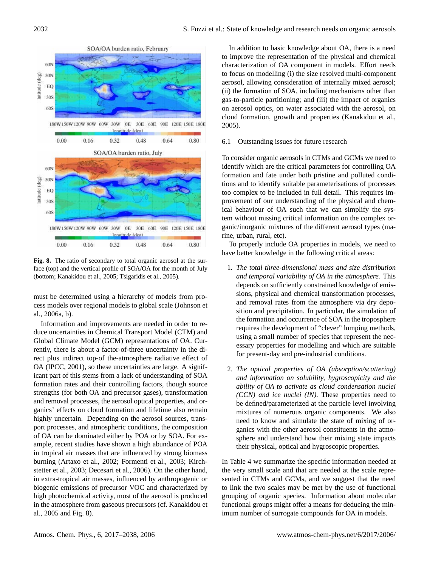

**Fig. 8.** The ratio of secondary to total organic aerosol at the surface (top) and the vertical profile of SOA/OA for the month of July (bottom; Kanakidou et al., 2005; Tsigaridis et al., 2005).

must be determined using a hierarchy of models from process models over regional models to global scale (Johnson et al., 2006a, b).

Information and improvements are needed in order to reduce uncertainties in Chemical Transport Model (CTM) and Global Climate Model (GCM) representations of OA. Currently, there is about a factor-of-three uncertainty in the direct plus indirect top-of the-atmosphere radiative effect of OA (IPCC, 2001), so these uncertainties are large. A significant part of this stems from a lack of understanding of SOA formation rates and their controlling factors, though source strengths (for both OA and precursor gases), transformation and removal processes, the aerosol optical properties, and organics' effects on cloud formation and lifetime also remain highly uncertain. Depending on the aerosol sources, transport processes, and atmospheric conditions, the composition of OA can be dominated either by POA or by SOA. For example, recent studies have shown a high abundance of POA in tropical air masses that are influenced by strong biomass burning (Artaxo et al., 2002; Formenti et al., 2003; Kirchstetter et al., 2003; Decesari et al., 2006). On the other hand, in extra-tropical air masses, influenced by anthropogenic or biogenic emissions of precursor VOC and characterized by high photochemical activity, most of the aerosol is produced in the atmosphere from gaseous precursors (cf. Kanakidou et al., 2005 and Fig. 8).

In addition to basic knowledge about OA, there is a need to improve the representation of the physical and chemical characterization of OA component in models. Effort needs to focus on modelling (i) the size resolved multi-component aerosol, allowing consideration of internally mixed aerosol; (ii) the formation of SOA, including mechanisms other than gas-to-particle partitioning; and (iii) the impact of organics on aerosol optics, on water associated with the aerosol, on cloud formation, growth and properties (Kanakidou et al., 2005).

#### 6.1 Outstanding issues for future research

To consider organic aerosols in CTMs and GCMs we need to identify which are the critical parameters for controlling OA formation and fate under both pristine and polluted conditions and to identify suitable parameterisations of processes too complex to be included in full detail. This requires improvement of our understanding of the physical and chemical behaviour of OA such that we can simplify the system without missing critical information on the complex organic/inorganic mixtures of the different aerosol types (marine, urban, rural, etc).

To properly include OA properties in models, we need to have better knowledge in the following critical areas:

- 1. *The total three-dimensional mass and size distribution and temporal variability of OA in the atmosphere.* This depends on sufficiently constrained knowledge of emissions, physical and chemical transformation processes, and removal rates from the atmosphere via dry deposition and precipitation. In particular, the simulation of the formation and occurrence of SOA in the troposphere requires the development of "clever" lumping methods, using a small number of species that represent the necessary properties for modelling and which are suitable for present-day and pre-industrial conditions.
- 2. *The optical properties of OA (absorption/scattering) and information on solubility, hygroscopicity and the ability of OA to activate as cloud condensation nuclei (CCN) and ice nuclei (IN).* These properties need to be defined/parameterized at the particle level involving mixtures of numerous organic components. We also need to know and simulate the state of mixing of organics with the other aerosol constituents in the atmosphere and understand how their mixing state impacts their physical, optical and hygroscopic properties.

In Table 4 we summarize the specific information needed at the very small scale and that are needed at the scale represented in CTMs and GCMs, and we suggest that the need to link the two scales may be met by the use of functional grouping of organic species. Information about molecular functional groups might offer a means for deducing the minimum number of surrogate compounds for OA in models.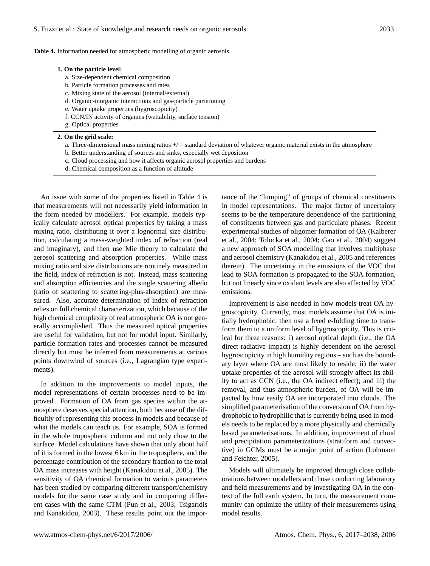**Table 4.** Information needed for atmospheric modelling of organic aerosols.

#### **1. On the particle level:**

- a. Size-dependent chemical composition
- b. Particle formation processes and rates
- c. Mixing state of the aerosol (internal/external)
- d. Organic-inorganic interactions and gas-particle partitioning
- e. Water uptake properties (hygroscopicity)
- f. CCN/IN activity of organics (wettability, surface tension)
- g. Optical properties

#### **2. On the grid scale:**

- a. Three-dimensional mass mixing ratios +/− standard deviation of whatever organic material exists in the atmosphere
- b. Better understanding of sources and sinks, especially wet deposition
- c. Cloud processing and how it affects organic aerosol properties and burdens
- d. Chemical composition as a function of altitude

An issue with some of the properties listed in Table 4 is that measurements will not necessarily yield information in the form needed by modellers. For example, models typically calculate aerosol optical properties by taking a mass mixing ratio, distributing it over a lognormal size distribution, calculating a mass-weighted index of refraction (real and imaginary), and then use Mie theory to calculate the aerosol scattering and absorption properties. While mass mixing ratio and size distributions are routinely measured in the field, index of refraction is not. Instead, mass scattering and absorption efficiencies and the single scattering albedo (ratio of scattering to scattering-plus-absorption) are measured. Also, accurate determination of index of refraction relies on full chemical characterization, which because of the high chemical complexity of real atmospheric OA is not generally accomplished. Thus the measured optical properties are useful for validation, but not for model input. Similarly, particle formation rates and processes cannot be measured directly but must be inferred from measurements at various points downwind of sources (i.e., Lagrangian type experiments).

In addition to the improvements to model inputs, the model representations of certain processes need to be improved. Formation of OA from gas species within the atmosphere deserves special attention, both because of the difficultly of representing this process in models and because of what the models can teach us. For example, SOA is formed in the whole tropospheric column and not only close to the surface. Model calculations have shown that only about half of it is formed in the lowest 6 km in the troposphere, and the percentage contribution of the secondary fraction to the total OA mass increases with height (Kanakidou et al., 2005). The sensitivity of OA chemical formation to various parameters has been studied by comparing different transport/chemistry models for the same case study and in comparing different cases with the same CTM (Pun et al., 2003; Tsigaridis and Kanakidou, 2003). These results point out the importance of the "lumping" of groups of chemical constituents in model representations. The major factor of uncertainty seems to be the temperature dependence of the partitioning of constituents between gas and particulate phases. Recent experimental studies of oligomer formation of OA (Kalberer et al., 2004; Tolocka et al., 2004; Gao et al., 2004) suggest a new approach of SOA modelling that involves multiphase and aerosol chemistry (Kanakidou et al., 2005 and references therein). The uncertainty in the emissions of the VOC that lead to SOA formation is propagated to the SOA formation, but not linearly since oxidant levels are also affected by VOC emissions.

Improvement is also needed in how models treat OA hygroscopicity. Currently, most models assume that OA is initially hydrophobic, then use a fixed e-folding time to transform them to a uniform level of hygroscopicity. This is critical for three reasons: i) aerosol optical depth (i.e., the OA direct radiative impact) is highly dependent on the aerosol hygroscopicity in high humidity regions – such as the boundary layer where OA are most likely to reside; ii) the water uptake properties of the aerosol will strongly affect its ability to act as CCN (i.e., the OA indirect effect); and iii) the removal, and thus atmospheric burden, of OA will be impacted by how easily OA are incorporated into clouds. The simplified parameterisation of the conversion of OA from hydrophobic to hydrophilic that is currently being used in models needs to be replaced by a more physically and chemically based parameterisations. In addition, improvement of cloud and precipitation parameterizations (stratiform and convective) in GCMs must be a major point of action (Lohmann and Feichter, 2005).

Models will ultimately be improved through close collaborations between modellers and those conducting laboratory and field measurements and by investigating OA in the context of the full earth system. In turn, the measurement community can optimize the utility of their measurements using model results.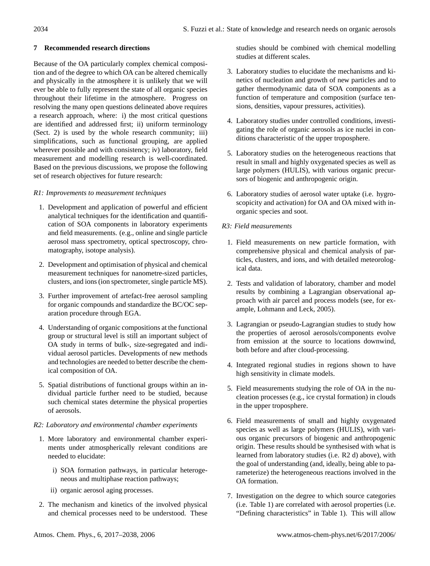# **7 Recommended research directions**

Because of the OA particularly complex chemical composition and of the degree to which OA can be altered chemically and physically in the atmosphere it is unlikely that we will ever be able to fully represent the state of all organic species throughout their lifetime in the atmosphere. Progress on resolving the many open questions delineated above requires a research approach, where: i) the most critical questions are identified and addressed first; ii) uniform terminology (Sect. 2) is used by the whole research community; iii) simplifications, such as functional grouping, are applied wherever possible and with consistency; iv) laboratory, field measurement and modelling research is well-coordinated. Based on the previous discussions, we propose the following set of research objectives for future research:

# *R1: Improvements to measurement techniques*

- 1. Development and application of powerful and efficient analytical techniques for the identification and quantification of SOA components in laboratory experiments and field measurements. (e.g., online and single particle aerosol mass spectrometry, optical spectroscopy, chromatography, isotope analysis).
- 2. Development and optimisation of physical and chemical measurement techniques for nanometre-sized particles, clusters, and ions (ion spectrometer, single particle MS).
- 3. Further improvement of artefact-free aerosol sampling for organic compounds and standardize the BC/OC separation procedure through EGA.
- 4. Understanding of organic compositions at the functional group or structural level is still an important subject of OA study in terms of bulk-, size-segregated and individual aerosol particles. Developments of new methods and technologies are needed to better describe the chemical composition of OA.
- 5. Spatial distributions of functional groups within an individual particle further need to be studied, because such chemical states determine the physical properties of aerosols.

## *R2: Laboratory and environmental chamber experiments*

- 1. More laboratory and environmental chamber experiments under atmospherically relevant conditions are needed to elucidate:
	- i) SOA formation pathways, in particular heterogeneous and multiphase reaction pathways;
	- ii) organic aerosol aging processes.
- 2. The mechanism and kinetics of the involved physical and chemical processes need to be understood. These

studies should be combined with chemical modelling studies at different scales.

- 3. Laboratory studies to elucidate the mechanisms and kinetics of nucleation and growth of new particles and to gather thermodynamic data of SOA components as a function of temperature and composition (surface tensions, densities, vapour pressures, activities).
- 4. Laboratory studies under controlled conditions, investigating the role of organic aerosols as ice nuclei in conditions characteristic of the upper troposphere.
- 5. Laboratory studies on the heterogeneous reactions that result in small and highly oxygenated species as well as large polymers (HULIS), with various organic precursors of biogenic and anthropogenic origin.
- 6. Laboratory studies of aerosol water uptake (i.e. hygroscopicity and activation) for OA and OA mixed with inorganic species and soot.

# *R3: Field measurements*

- 1. Field measurements on new particle formation, with comprehensive physical and chemical analysis of particles, clusters, and ions, and with detailed meteorological data.
- 2. Tests and validation of laboratory, chamber and model results by combining a Lagrangian observational approach with air parcel and process models (see, for example, Lohmann and Leck, 2005).
- 3. Lagrangian or pseudo-Lagrangian studies to study how the properties of aerosol aerosols/components evolve from emission at the source to locations downwind, both before and after cloud-processing.
- 4. Integrated regional studies in regions shown to have high sensitivity in climate models.
- 5. Field measurements studying the role of OA in the nucleation processes (e.g., ice crystal formation) in clouds in the upper troposphere.
- 6. Field measurements of small and highly oxygenated species as well as large polymers (HULIS), with various organic precursors of biogenic and anthropogenic origin. These results should be synthesised with what is learned from laboratory studies (i.e. R2 d) above), with the goal of understanding (and, ideally, being able to parameterize) the heterogeneous reactions involved in the OA formation.
- 7. Investigation on the degree to which source categories (i.e. Table 1) are correlated with aerosol properties (i.e. "Defining characteristics" in Table 1). This will allow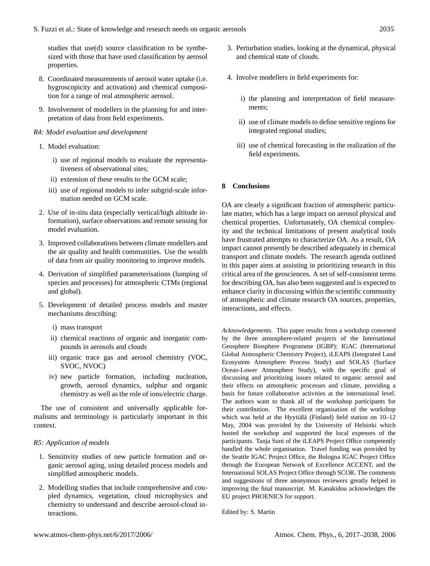studies that use(d) source classification to be synthesized with those that have used classification by aerosol properties.

- 8. Coordinated measurements of aerosol water uptake (i.e. hygroscopicity and activation) and chemical composition for a range of real atmospheric aerosol.
- 9. Involvement of modellers in the planning for and interpretation of data from field experiments.

# *R4: Model evaluation and development*

- 1. Model evaluation:
	- i) use of regional models to evaluate the representativeness of observational sites;
	- ii) extension of these results to the GCM scale;
	- iii) use of regional models to infer subgrid-scale information needed on GCM scale.
- 2. Use of in-situ data (especially vertical/high altitude information), surface observations and remote sensing for model evaluation.
- 3. Improved collaborations between climate modellers and the air quality and health communities. Use the wealth of data from air quality monitoring to improve models.
- 4. Derivation of simplified parameterisations (lumping of species and processes) for atmospheric CTMs (regional and global).
- 5. Development of detailed process models and master mechanisms describing:
	- i) mass transport
	- ii) chemical reactions of organic and inorganic compounds in aerosols and clouds
	- iii) organic trace gas and aerosol chemistry (VOC, SVOC, NVOC)
	- iv) new particle formation, including nucleation, growth, aerosol dynamics, sulphur and organic chemistry as well as the role of ions/electric charge.

The use of consistent and universally applicable formalisms and terminology is particularly important in this context.

# *R5: Application of models*

- 1. Sensitivity studies of new particle formation and organic aerosol aging, using detailed process models and simplified atmospheric models.
- 2. Modelling studies that include comprehensive and coupled dynamics, vegetation, cloud microphysics and chemistry to understand and describe aerosol-cloud interactions.
- 3. Perturbation studies, looking at the dynamical, physical and chemical state of clouds.
- 4. Involve modellers in field experiments for:
	- i) the planning and interpretation of field measurements;
	- ii) use of climate models to define sensitive regions for integrated regional studies;
	- iii) use of chemical forecasting in the realization of the field experiments.

# **8 Conclusions**

OA are clearly a significant fraction of atmospheric particulate matter, which has a large impact on aerosol physical and chemical properties. Unfortunately, OA chemical complexity and the technical limitations of present analytical tools have frustrated attempts to characterize OA. As a result, OA impact cannot presently be described adequately in chemical transport and climate models. The research agenda outlined in this paper aims at assisting in prioritizing research in this critical area of the geosciences. A set of self-consistent terms for describing OA, has also been suggested and is expected to enhance clarity in discussing within the scientific community of atmospheric and climate research OA sources, properties, interactions, and effects.

*Acknowledgements.* This paper results from a workshop convened by the three atmosphere-related projects of the International Geosphere Biosphere Programme (IGBP): IGAC (International Global Atmospheric Chemistry Project), iLEAPS (Integrated Land Ecosystem Atmosphere Process Study) and SOLAS (Surface Ocean-Lower Atmosphere Study), with the specific goal of discussing and prioritizing issues related to organic aerosol and their effects on atmospheric processes and climate, providing a basis for future collaborative activities at the international level. The authors want to thank all of the workshop participants for their contribution. The excellent organisation of the workshop which was held at the Hyytiälä (Finland) field station on 10-12 May, 2004 was provided by the University of Helsinki which hosted the workshop and supported the local expenses of the participants. Tanja Suni of the iLEAPS Project Office competently handled the whole organisation. Travel funding was provided by the Seattle IGAC Project Office, the Bologna IGAC Project Office through the European Network of Excellence ACCENT, and the International SOLAS Project Office through SCOR. The comments and suggestions of three anonymous reviewers greatly helped in improving the final manuscript. M. Kanakidou acknowledges the EU project PHOENICS for support.

Edited by: S. Martin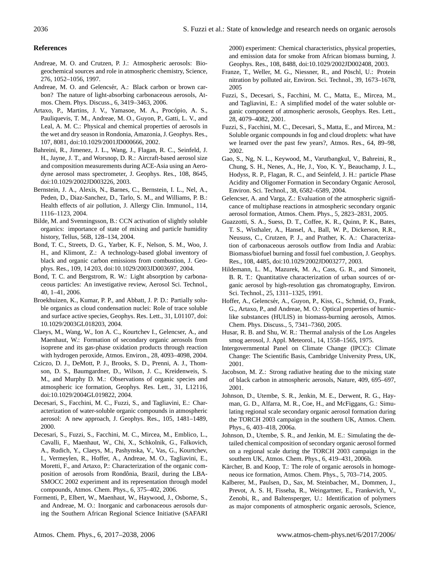# **References**

- Andreae, M. O. and Crutzen, P. J.: Atmospheric aerosols: Biogeochemical sources and role in atmospheric chemistry, Science, 276, 1052–1056, 1997.
- Andreae, M. O. and Gelencsér, A.: Black carbon or brown carbon? The nature of light-absorbing carbonaceous aerosols, Atmos. Chem. Phys. Discuss., 6, 3419–3463, 2006.
- Artaxo, P., Martins, J. V., Yamasoe, M. A., Procópio, A. S., Pauliquevis, T. M., Andreae, M. O., Guyon, P., Gatti, L. V., and Leal, A. M. C.: Physical and chemical properties of aerosols in the wet and dry season in Rondonia, Amazonia, J. Geophys. Res., 107, 8081, doi:10.1029/2001JD000666, 2002.
- Bahreini, R., Jimenez, J. L., Wang, J., Flagan, R. C., Seinfeld, J. H., Jayne, J. T., and Worsnop, D. R.: Aircraft-based aerosol size and composition measurements during ACE-Asia using an Aerodyne aerosol mass spectrometer, J. Geophys. Res., 108, 8645, doi:10.1029/2002JD003226, 2003.
- Bernstein, J. A., Alexis, N., Barnes, C., Bernstein, I. L., Nel, A., Peden, D., Diaz-Sanchez, D., Tarlo, S. M., and Williams, P. B.: Health effects of air pollution, J. Allergy Clin. Immunol., 114, 1116–1123, 2004.
- Bilde, M. and Svenningsson, B.: CCN activation of slightly soluble organics: importance of state of mixing and particle humidity history, Tellus, 56B, 128–134, 2004.
- Bond, T. C., Streets, D. G., Yarber, K. F., Nelson, S. M., Woo, J. H., and Klimont, Z.: A technology-based global inventory of black and organic carbon emissions from combustion, J. Geophys. Res., 109, 14 203, doi:10.1029/2003JD003697, 2004.
- Bond, T. C. and Bergstrom, R. W.: Light absorption by carbonaceous particles: An investigative review, Aerosol Sci. Technol., 40, 1–41, 2006.
- Broekhuizen, K., Kumar, P. P., and Abbatt, J. P. D.: Partially soluble organics as cloud condensation nuclei: Role of trace soluble and surface active species, Geophys. Res. Lett., 31, L01107, doi: 10.1029/2003GL018203, 2004.
- Claeys, M., Wang, W., Ion A. C., Kourtchev I., Gelencser, A., and Maenhaut, W.: Formation of secondary organic aerosols from isoprene and its gas-phase oxidation products through reaction with hydrogen peroxide, Atmos. Environ., 28, 4093–4098, 2004.
- Cziczo, D. J., DeMott, P. J., Brooks, S. D., Prenni, A. J., Thomson, D. S., Baumgardner, D., Wilson, J. C., Kreidenweis, S. M., and Murphy D. M.: Observations of organic species and atmospheric ice formation, Geophys. Res. Lett., 31, L12116, doi:10.1029/2004GL019822, 2004.
- Decesari, S., Facchini, M. C., Fuzzi, S., and Tagliavini, E.: Characterization of water-soluble organic compounds in atmospheric aerosol: A new approach, J. Geophys. Res., 105, 1481–1489, 2000.
- Decesari, S., Fuzzi, S., Facchini, M. C., Mircea, M., Emblico, L., Cavalli, F., Maenhaut, W., Chi, X., Schkolnik, G., Falkovich, A., Rudich, Y., Claeys, M., Pashynska, V., Vas, G., Kourtchev, I., Vermeylen, R., Hoffer, A., Andreae, M. O., Tagliavini, E., Moretti, F., and Artaxo, P.: Characterization of the organic composition of aerosols from Rondônia, Brazil, during the LBA-SMOCC 2002 experiment and its representation through model compounds, Atmos. Chem. Phys., 6, 375–402, 2006.
- Formenti, P., Elbert, W., Maenhaut, W., Haywood, J., Osborne, S., and Andreae, M. O.: Inorganic and carbonaceous aerosols during the Southern African Regional Science Initiative (SAFARI

2000) experiment: Chemical characteristics, physical properties, and emission data for smoke from African biomass burning, J. Geophys. Res., 108, 8488, doi:10.1029/2002JD002408, 2003.

- Franze, T., Weller, M. G., Niessner, R., and Pöschl, U.: Protein nitration by polluted air, Environ. Sci. Technol., 39, 1673–1678, 2005
- Fuzzi, S., Decesari, S., Facchini, M. C., Matta, E., Mircea, M., and Tagliavini, E.: A simplified model of the water soluble organic component of atmospheric aerosols, Geophys. Res. Lett., 28, 4079–4082, 2001.
- Fuzzi, S., Facchini, M. C., Decesari, S., Matta, E., and Mircea, M.: Soluble organic compounds in fog and cloud droplets: what have we learned over the past few years?, Atmos. Res., 64, 89–98, 2002.
- Gao, S., Ng, N. L., Keywood, M., Varutbangkul, V., Bahreini, R., Chung, S. H., Nenes, A., He, J., Yoo, K. Y., Beauchamp, J. L., Hodyss, R. P., Flagan, R. C., and Seinfeld, J. H.: particle Phase Acidity and Oligomer Formation in Secondary Organic Aerosol, Environ. Sci. Technol., 38, 6582–6589, 2004.
- Gelencser, A. and Varga, Z.: Evaluation of the atmospheric significance of multiphase reactions in atmospheric secondary organic aerosol formation, Atmos. Chem. Phys., 5, 2823–2831, 2005.
- Guazzotti, S. A., Suess, D. T., Coffee, K. R., Quinn, P. K., Bates, T. S., Wisthaler, A., Hansel, A., Ball, W. P., Dickerson, R.R., Neususs, C., Crutzen, P. J., and Prather, K. A.: Characterization of carbonaceous aerosols outflow from India and Arabia: Biomass/biofuel burning and fossil fuel combustion, J. Geophys. Res., 108, 4485, doi:10.1029/2002JD003277, 2003.
- Hildemann, L. M., Mazurek, M. A., Cass, G. R., and Simoneit, B. R. T.: Quantitative characterization of urban sources of organic aerosol by high-resolution gas chromatography, Environ. Sci. Technol., 25, 1311–1325, 1991.
- Hoffer, A., Gelencsér, A., Guyon, P., Kiss, G., Schmid, O., Frank, G., Artaxo, P., and Andreae, M. O.: Optical properties of humiclike substances (HULIS) in biomass-burning aerosols, Atmos. Chem. Phys. Discuss., 5, 7341–7360, 2005.
- Husar, R. B. and Shu, W. R.: Thermal analysis of the Los Angeles smog aerosol, J. Appl. Meteorol., 14, 1558–1565, 1975.
- Intergovernmental Panel on Climate Change (IPCC): Climate Change: The Scientific Basis, Cambridge University Press, UK, 2001.
- Jacobson, M. Z.: Strong radiative heating due to the mixing state of black carbon in atmospheric aerosols, Nature, 409, 695–697, 2001.
- Johnson, D., Utembe, S. R., Jenkin, M. E., Derwent, R. G., Hayman, G. D., Alfarra, M. R., Coe, H., and McFiggans, G.: Simulating regional scale secondary organic aerosol formation during the TORCH 2003 campaign in the southern UK, Atmos. Chem. Phys., 6, 403–418, 2006a.
- Johnson, D., Utembe, S. R., and Jenkin, M. E.: Simulating the detailed chemical composition of secondary organic aerosol formed on a regional scale during the TORCH 2003 campaign in the southern UK, Atmos. Chem. Phys., 6, 419–431, 2006b.
- Kärcher, B. and Koop, T.: The role of organic aerosols in homogeneous ice formation, Atmos. Chem. Phys., 5, 703–714, 2005.
- Kalberer, M., Paulsen, D., Sax, M. Steinbacher, M., Dommen, J., Prevot, A. S. H, Fisseha, R., Weingartner, E., Frankevich, V., Zenobi, R., and Baltensperger, U.: Identification of polymers as major components of atmospheric organic aerosols, Science,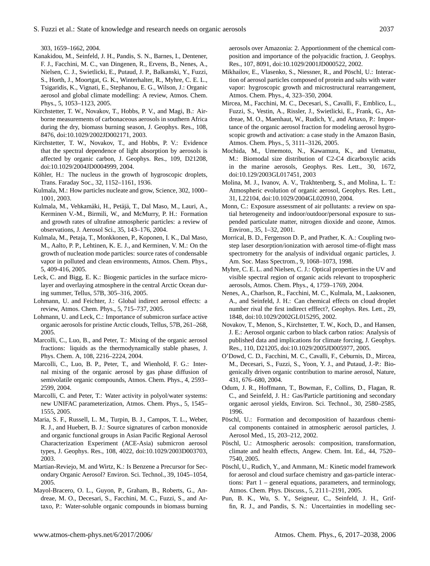303, 1659–1662, 2004.

- Kanakidou, M., Seinfeld, J. H., Pandis, S. N., Barnes, I., Dentener, F. J., Facchini, M. C., van Dingenen, R., Ervens, B., Nenes, A., Nielsen, C. J., Swietlicki, E., Putaud, J. P., Balkanski, Y., Fuzzi, S., Horth, J., Moortgat, G. K., Winterhalter, R., Myhre, C. E. L., Tsigaridis, K., Vignati, E., Stephanou, E. G., Wilson, J.: Organic aerosol and global climate modelling: A review, Atmos. Chem. Phys., 5, 1053–1123, 2005.
- Kirchstetter, T. W., Novakov, T., Hobbs, P. V., and Magi, B.: Airborne measurements of carbonaceous aerosols in southern Africa during the dry, biomass burning season, J. Geophys. Res., 108, 8476, doi:10.1029/2002JD002171, 2003.
- Kirchstetter, T. W., Novakov, T., and Hobbs, P. V.: Evidence that the spectral dependence of light absorption by aerosols is affected by organic carbon, J. Geophys. Res., 109, D21208, doi:10.1029/2004JD0004999, 2004.
- Köhler, H.: The nucleus in the growth of hygroscopic droplets, Trans. Faraday Soc., 32, 1152–1161, 1936.
- Kulmala, M.: How particles nucleate and grow, Science, 302, 1000– 1001, 2003.
- Kulmala, M., Vehkamäki, H., Petäjä, T., Dal Maso, M., Lauri, A., Kerminen V.-M., Birmili, W., and McMurry, P. H.: Formation and growth rates of ultrafine atmospheric particles: a review of observations, J. Aerosol Sci., 35, 143–176, 2004.
- Kulmala, M., Petaja, T., Monkkonen, P., Koponen, I. K., Dal Maso, M., Aalto, P. P., Lehtinen, K. E. J., and Kerminen, V. M.: On the growth of nucleation mode particles: source rates of condensable vapor in polluted and clean environments, Atmos. Chem. Phys., 5, 409-416, 2005.
- Leck, C. and Bigg, E. K.: Biogenic particles in the surface microlayer and overlaying atmosphere in the central Arctic Ocean during summer, Tellus, 57B, 305–316, 2005.
- Lohmann, U. and Feichter, J.: Global indirect aerosol effects: a review, Atmos. Chem. Phys., 5, 715–737, 2005.
- Lohmann, U. and Leck, C.: Importance of submicron surface active organic aerosols for pristine Arctic clouds, Tellus, 57B, 261–268, 2005.
- Marcolli, C., Luo, B., and Peter, T.: Mixing of the organic aerosol fractions: liquids as the thermodynamically stable phases, J. Phys. Chem. A, 108, 2216–2224, 2004.
- Marcolli, C., Luo, B. P., Peter, T., and Wienhold, F. G.: Internal mixing of the organic aerosol by gas phase diffusion of semivolatile organic compounds, Atmos. Chem. Phys., 4, 2593– 2599, 2004.
- Marcolli, C. and Peter, T.: Water activity in polyol/water systems: new UNIFAC parameterization, Atmos. Chem. Phys., 5, 1545– 1555, 2005.
- Maria, S. F., Russell, L. M., Turpin, B. J., Campos, T. L., Weber, R. J., and Huebert, B. J.: Source signatures of carbon monoxide and organic functional groups in Asian Pacific Regional Aerosol Characterization Experiment (ACE-Asia) submicron aerosol types, J. Geophys. Res., 108, 4022, doi:10.1029/2003D003703, 2003.
- Martian-Reviejo, M. and Wirtz, K.: Is Benzene a Precursor for Secondary Organic Aerosol? Environ. Sci. Technol., 39, 1045–1054, 2005.
- Mayol-Bracero, O. L., Guyon, P., Graham, B., Roberts, G., Andreae, M. O., Decesari, S., Facchini, M. C., Fuzzi, S., and Artaxo, P.: Water-soluble organic compounds in biomass burning

aerosols over Amazonia: 2. Apportionment of the chemical composition and importance of the polyacidic fraction, J. Geophys. Res., 107, 8091, doi:10.1029/2001JD000522, 2002.

- Mikhailov, E., Vlasenko, S., Niessner, R., and Pöschl, U.: Interaction of aerosol particles composed of protein and salts with water vapor: hygroscopic growth and microstructural rearrangement, Atmos. Chem. Phys., 4, 323–350, 2004.
- Mircea, M., Facchini, M. C., Decesari, S., Cavalli, F., Emblico, L., Fuzzi, S., Vestin, A., Rissler, J., Swietlicki, E., Frank, G., Andreae, M. O., Maenhaut, W., Rudich, Y., and Artaxo, P.: Importance of the organic aerosol fraction for modeling aerosol hygroscopic growth and activation: a case study in the Amazon Basin, Atmos. Chem. Phys., 5, 3111–3126, 2005.
- Mochida, M., Umemoto, N., Kawamura, K., and Uematsu, M.: Biomodal size distribution of C2-C4 dicarboxylic acids in the marine aerosols, Geophys. Res. Lett., 30, 1672, doi:10.129/2003GL017451, 2003
- Molina, M. J., Ivanov, A. V., Trakhtenberg, S., and Molina, L. T.: Atmospheric evolution of organic aerosol, Geophys. Res. Lett., 31, L22104, doi:10.1029/2004GL020910, 2004.
- Monn, C.: Exposure assessment of air pollutants: a review on spatial heterogeneity and indoor/outdoor/personal exposure to suspended particulate matter, nitrogen dioxide and ozone, Atmos. Environ., 35, 1–32, 2001.
- Morrical, B. D., Fergenson D. P., and Prather, K. A.: Coupling twostep laser desorption/ionization with aerosol time-of-flight mass spectrometry for the analysis of individual organic particles, J. Am. Soc. Mass Spectrom., 9, 1068–1073, 1998.
- Myhre, C. E. L. and Nielsen, C. J.: Optical properties in the UV and visible spectral region of organic acids relevant to tropospheric aerosols, Atmos. Chem. Phys., 4, 1759–1769, 2004.
- Nenes, A., Charlson, R., Facchini, M. C., Kulmala, M., Laaksonen, A., and Seinfeld, J. H.: Can chemical effects on cloud droplet number rival the first indirect efffect?, Geophys. Res. Lett., 29, 1848, doi:10.1029/2002GL015295, 2002.
- Novakov, T., Menon, S., Kirchstetter, T. W., Koch, D., and Hansen, J. E.: Aerosol organic carbon to black carbon ratios: Analysis of published data and implications for climate forcing, J. Geophys. Res., 110, D21205, doi:10.1029/2005JD005977, 2005.
- O'Dowd, C. D., Facchini, M. C., Cavalli, F., Ceburnis, D., Mircea, M., Decesari, S., Fuzzi, S., Yoon, Y. J., and Putaud, J.-P.: Biogenically driven organic contribution to marine aerosol, Nature, 431, 676–680, 2004.
- Odum, J. R., Hoffmann, T., Bowman, F., Collins, D., Flagan, R. C., and Seinfeld, J. H.: Gas/Particle partitioning and secondary organic aerosol yields, Environ. Sci. Technol., 30, 2580–2585, 1996.
- Pöschl, U.: Formation and decomposition of hazardous chemical components contained in atmospheric aerosol particles, J. Aerosol Med., 15, 203–212, 2002.
- Pöschl, U.: Atmospheric aerosols: composition, transformation, climate and health effects, Angew. Chem. Int. Ed., 44, 7520– 7540, 2005.
- Pöschl, U., Rudich, Y., and Ammann, M.: Kinetic model framework for aerosol and cloud surface chemistry and gas-particle interactions: Part 1 – general equations, parameters, and terminology, Atmos. Chem. Phys. Discuss., 5, 2111–2191, 2005.
- Pun, B. K., Wu, S. Y., Seigneur, C., Seinfeld, J. H., Griffin, R. J., and Pandis, S. N.: Uncertainties in modelling sec-